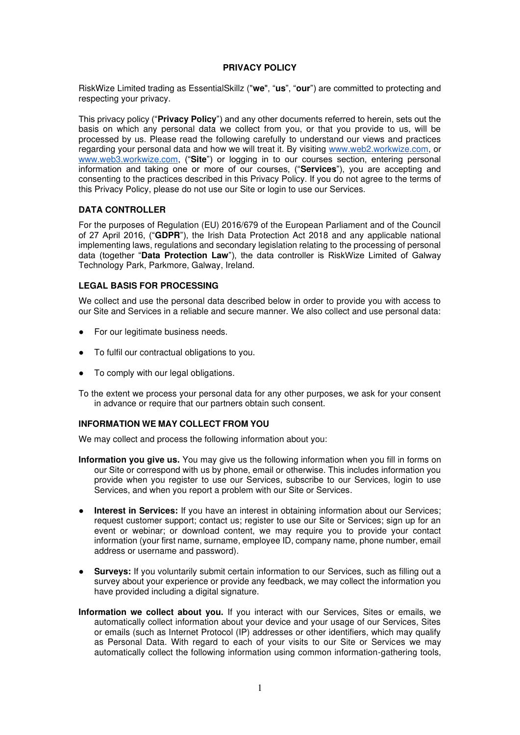## **PRIVACY POLICY**

RiskWize Limited trading as EssentialSkillz ("**we**", "**us**", "**our**") are committed to protecting and respecting your privacy.

This privacy policy ("**Privacy Policy**") and any other documents referred to herein, sets out the basis on which any personal data we collect from you, or that you provide to us, will be processed by us. Please read the following carefully to understand our views and practices regarding your personal data and how we will treat it. By visiting [www.web2.workwize.com,](http://www.web2.workwize.com/) or [www.web3.workwize.com](http://www.web3.workwize.com/), ("**Site**") or logging in to our courses section, entering personal information and taking one or more of our courses, ("**Services**"), you are accepting and consenting to the practices described in this Privacy Policy. If you do not agree to the terms of this Privacy Policy, please do not use our Site or login to use our Services.

# **DATA CONTROLLER**

For the purposes of Regulation (EU) 2016/679 of the European Parliament and of the Council of 27 April 2016, ("**GDPR**"), the Irish Data Protection Act 2018 and any applicable national implementing laws, regulations and secondary legislation relating to the processing of personal data (together "**Data Protection Law**"), the data controller is RiskWize Limited of Galway Technology Park, Parkmore, Galway, Ireland.

### **LEGAL BASIS FOR PROCESSING**

We collect and use the personal data described below in order to provide you with access to our Site and Services in a reliable and secure manner. We also collect and use personal data:

- For our legitimate business needs.
- To fulfil our contractual obligations to you.
- To comply with our legal obligations.
- To the extent we process your personal data for any other purposes, we ask for your consent in advance or require that our partners obtain such consent.

#### **INFORMATION WE MAY COLLECT FROM YOU**

We may collect and process the following information about you:

- **Information you give us.** You may give us the following information when you fill in forms on our Site or correspond with us by phone, email or otherwise. This includes information you provide when you register to use our Services, subscribe to our Services, login to use Services, and when you report a problem with our Site or Services.
- **Interest in Services:** If you have an interest in obtaining information about our Services; request customer support; contact us; register to use our Site or Services; sign up for an event or webinar; or download content, we may require you to provide your contact information (your first name, surname, employee ID, company name, phone number, email address or username and password).
- **Surveys:** If you voluntarily submit certain information to our Services, such as filling out a survey about your experience or provide any feedback, we may collect the information you have provided including a digital signature.
- **Information we collect about you.** If you interact with our Services, Sites or emails, we automatically collect information about your device and your usage of our Services, Sites or emails (such as Internet Protocol (IP) addresses or other identifiers, which may qualify as Personal Data. With regard to each of your visits to our Site or Services we may automatically collect the following information using common information-gathering tools,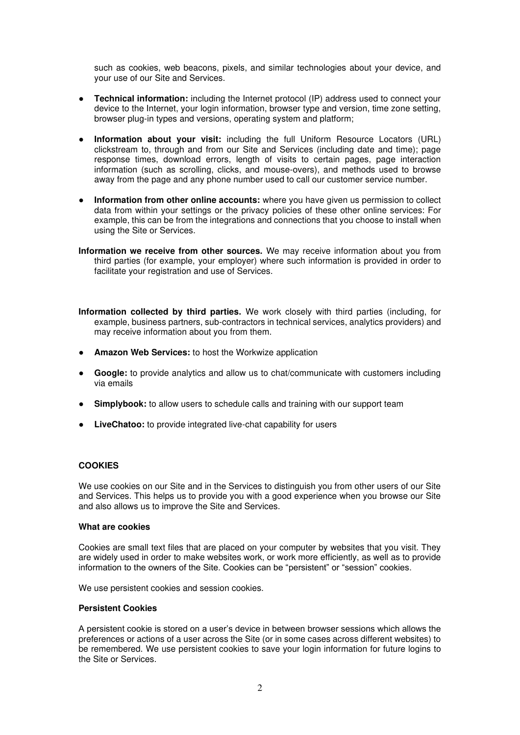such as cookies, web beacons, pixels, and similar technologies about your device, and your use of our Site and Services.

- **Technical information:** including the Internet protocol (IP) address used to connect your device to the Internet, your login information, browser type and version, time zone setting, browser plug-in types and versions, operating system and platform;
- **Information about your visit:** including the full Uniform Resource Locators (URL) clickstream to, through and from our Site and Services (including date and time); page response times, download errors, length of visits to certain pages, page interaction information (such as scrolling, clicks, and mouse-overs), and methods used to browse away from the page and any phone number used to call our customer service number.
- **•** Information from other online accounts: where you have given us permission to collect data from within your settings or the privacy policies of these other online services: For example, this can be from the integrations and connections that you choose to install when using the Site or Services.
- **Information we receive from other sources.** We may receive information about you from third parties (for example, your employer) where such information is provided in order to facilitate your registration and use of Services.
- **Information collected by third parties.** We work closely with third parties (including, for example, business partners, sub-contractors in technical services, analytics providers) and may receive information about you from them.
- **Amazon Web Services:** to host the Workwize application
- **Google:** to provide analytics and allow us to chat/communicate with customers including via emails
- **Simplybook:** to allow users to schedule calls and training with our support team
- **LiveChatoo:** to provide integrated live-chat capability for users

# **COOKIES**

We use cookies on our Site and in the Services to distinguish you from other users of our Site and Services. This helps us to provide you with a good experience when you browse our Site and also allows us to improve the Site and Services.

#### **What are cookies**

Cookies are small text files that are placed on your computer by websites that you visit. They are widely used in order to make websites work, or work more efficiently, as well as to provide information to the owners of the Site. Cookies can be "persistent" or "session" cookies.

We use persistent cookies and session cookies.

# **Persistent Cookies**

A persistent cookie is stored on a user's device in between browser sessions which allows the preferences or actions of a user across the Site (or in some cases across different websites) to be remembered. We use persistent cookies to save your login information for future logins to the Site or Services.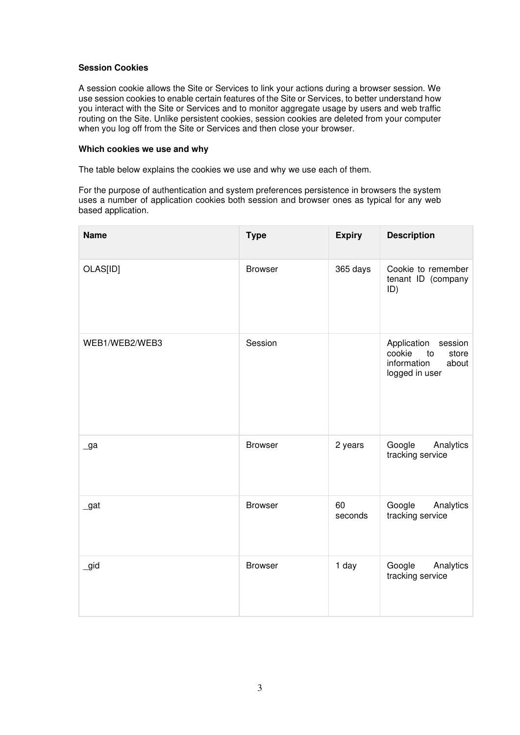## **Session Cookies**

A session cookie allows the Site or Services to link your actions during a browser session. We use session cookies to enable certain features of the Site or Services, to better understand how you interact with the Site or Services and to monitor aggregate usage by users and web traffic routing on the Site. Unlike persistent cookies, session cookies are deleted from your computer when you log off from the Site or Services and then close your browser.

#### **Which cookies we use and why**

The table below explains the cookies we use and why we use each of them.

For the purpose of authentication and system preferences persistence in browsers the system uses a number of application cookies both session and browser ones as typical for any web based application.

| <b>Name</b>    | <b>Type</b>    | <b>Expiry</b> | <b>Description</b>                                                                        |
|----------------|----------------|---------------|-------------------------------------------------------------------------------------------|
| OLAS[ID]       | <b>Browser</b> | 365 days      | Cookie to remember<br>tenant ID (company<br>ID)                                           |
| WEB1/WEB2/WEB3 | Session        |               | Application<br>session<br>cookie<br>store<br>to<br>information<br>about<br>logged in user |
| $\lrcorner$ ga | <b>Browser</b> | 2 years       | Google<br>Analytics<br>tracking service                                                   |
| $\_gat$        | <b>Browser</b> | 60<br>seconds | Google<br>Analytics<br>tracking service                                                   |
| $\_gid$        | <b>Browser</b> | 1 day         | Google<br>Analytics<br>tracking service                                                   |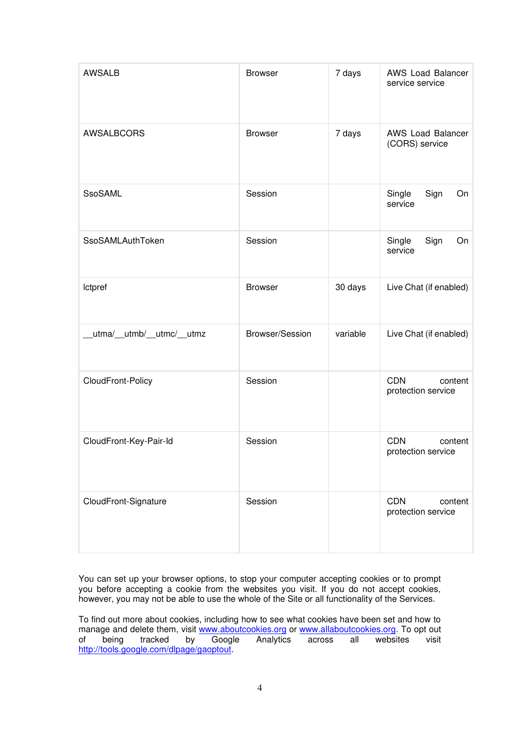| <b>AWSALB</b>             | <b>Browser</b>  | 7 days   | AWS Load Balancer<br>service service        |
|---------------------------|-----------------|----------|---------------------------------------------|
| <b>AWSALBCORS</b>         | <b>Browser</b>  | 7 days   | AWS Load Balancer<br>(CORS) service         |
| <b>SsoSAML</b>            | Session         |          | Single<br>Sign<br>On<br>service             |
| SsoSAMLAuthToken          | Session         |          | Single<br>Sign<br>On<br>service             |
| <b>Ictpref</b>            | <b>Browser</b>  | 30 days  | Live Chat (if enabled)                      |
| utma/__utmb/__utmc/__utmz | Browser/Session | variable | Live Chat (if enabled)                      |
| CloudFront-Policy         | Session         |          | <b>CDN</b><br>content<br>protection service |
| CloudFront-Key-Pair-Id    | Session         |          | <b>CDN</b><br>content<br>protection service |
| CloudFront-Signature      | Session         |          | <b>CDN</b><br>content<br>protection service |

You can set up your browser options, to stop your computer accepting cookies or to prompt you before accepting a cookie from the websites you visit. If you do not accept cookies, however, you may not be able to use the whole of the Site or all functionality of the Services.

To find out more about cookies, including how to see what cookies have been set and how to manage and delete them, visit [www.aboutcookies.org](http://www.aboutcookies.org/) or [www.allaboutcookies.org.](http://www.allaboutcookies.org/) To opt out<br>of being tracked by Google Analytics across all websites visit of being tracked by Google Analytics across all websites visit [http://tools.google.com/dlpage/gaoptout.](http://tools.google.com/dlpage/gaoptout)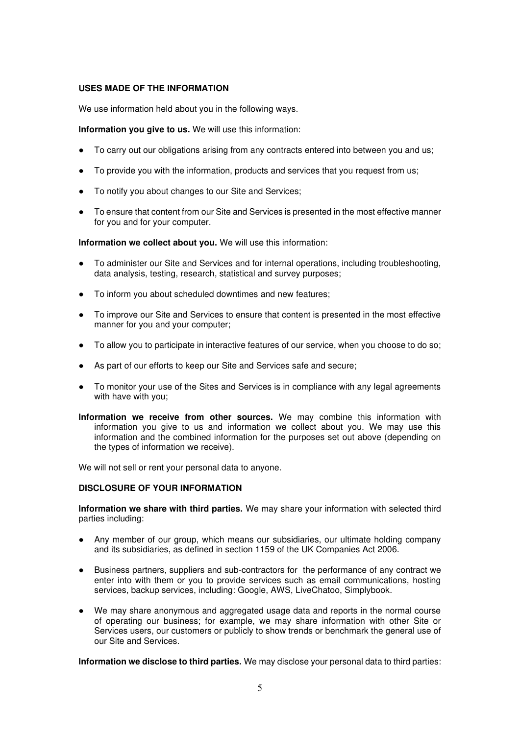# **USES MADE OF THE INFORMATION**

We use information held about you in the following ways.

**Information you give to us.** We will use this information:

- To carry out our obligations arising from any contracts entered into between you and us;
- To provide you with the information, products and services that you request from us;
- To notify you about changes to our Site and Services;
- To ensure that content from our Site and Services is presented in the most effective manner for you and for your computer.

**Information we collect about you.** We will use this information:

- To administer our Site and Services and for internal operations, including troubleshooting, data analysis, testing, research, statistical and survey purposes;
- To inform you about scheduled downtimes and new features;
- To improve our Site and Services to ensure that content is presented in the most effective manner for you and your computer;
- To allow you to participate in interactive features of our service, when you choose to do so;
- As part of our efforts to keep our Site and Services safe and secure;
- To monitor your use of the Sites and Services is in compliance with any legal agreements with have with you;

**Information we receive from other sources.** We may combine this information with information you give to us and information we collect about you. We may use this information and the combined information for the purposes set out above (depending on the types of information we receive).

We will not sell or rent your personal data to anyone.

### **DISCLOSURE OF YOUR INFORMATION**

**Information we share with third parties.** We may share your information with selected third parties including:

- Any member of our group, which means our subsidiaries, our ultimate holding company and its subsidiaries, as defined in section 1159 of the UK Companies Act 2006.
- Business partners, suppliers and sub-contractors for the performance of any contract we enter into with them or you to provide services such as email communications, hosting services, backup services, including: Google, AWS, LiveChatoo, Simplybook.
- We may share anonymous and aggregated usage data and reports in the normal course of operating our business; for example, we may share information with other Site or Services users, our customers or publicly to show trends or benchmark the general use of our Site and Services.

**Information we disclose to third parties.** We may disclose your personal data to third parties: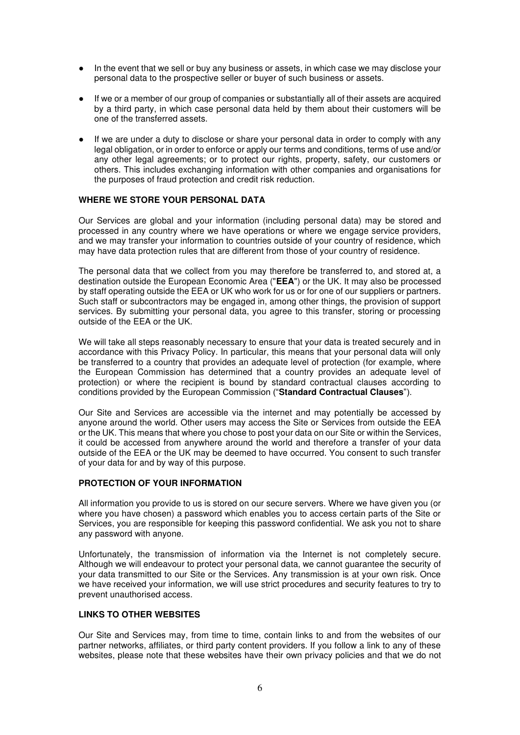- In the event that we sell or buy any business or assets, in which case we may disclose your personal data to the prospective seller or buyer of such business or assets.
- If we or a member of our group of companies or substantially all of their assets are acquired by a third party, in which case personal data held by them about their customers will be one of the transferred assets.
- If we are under a duty to disclose or share your personal data in order to comply with any legal obligation, or in order to enforce or apply our terms and conditions, terms of use and/or any other legal agreements; or to protect our rights, property, safety, our customers or others. This includes exchanging information with other companies and organisations for the purposes of fraud protection and credit risk reduction.

## **WHERE WE STORE YOUR PERSONAL DATA**

Our Services are global and your information (including personal data) may be stored and processed in any country where we have operations or where we engage service providers, and we may transfer your information to countries outside of your country of residence, which may have data protection rules that are different from those of your country of residence.

The personal data that we collect from you may therefore be transferred to, and stored at, a destination outside the European Economic Area ("**EEA**") or the UK. It may also be processed by staff operating outside the EEA or UK who work for us or for one of our suppliers or partners. Such staff or subcontractors may be engaged in, among other things, the provision of support services. By submitting your personal data, you agree to this transfer, storing or processing outside of the EEA or the UK.

We will take all steps reasonably necessary to ensure that your data is treated securely and in accordance with this Privacy Policy. In particular, this means that your personal data will only be transferred to a country that provides an adequate level of protection (for example, where the European Commission has determined that a country provides an adequate level of protection) or where the recipient is bound by standard contractual clauses according to conditions provided by the European Commission ("**Standard Contractual Clauses**").

Our Site and Services are accessible via the internet and may potentially be accessed by anyone around the world. Other users may access the Site or Services from outside the EEA or the UK. This means that where you chose to post your data on our Site or within the Services, it could be accessed from anywhere around the world and therefore a transfer of your data outside of the EEA or the UK may be deemed to have occurred. You consent to such transfer of your data for and by way of this purpose.

#### **PROTECTION OF YOUR INFORMATION**

All information you provide to us is stored on our secure servers. Where we have given you (or where you have chosen) a password which enables you to access certain parts of the Site or Services, you are responsible for keeping this password confidential. We ask you not to share any password with anyone.

Unfortunately, the transmission of information via the Internet is not completely secure. Although we will endeavour to protect your personal data, we cannot guarantee the security of your data transmitted to our Site or the Services. Any transmission is at your own risk. Once we have received your information, we will use strict procedures and security features to try to prevent unauthorised access.

#### **LINKS TO OTHER WEBSITES**

Our Site and Services may, from time to time, contain links to and from the websites of our partner networks, affiliates, or third party content providers. If you follow a link to any of these websites, please note that these websites have their own privacy policies and that we do not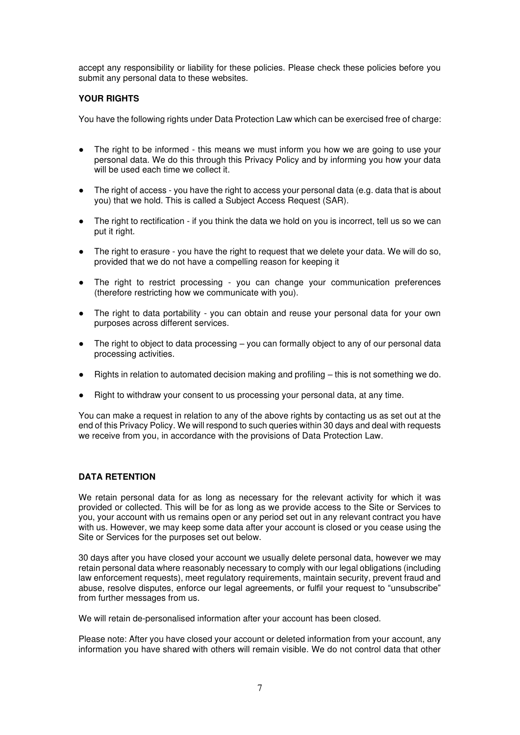accept any responsibility or liability for these policies. Please check these policies before you submit any personal data to these websites.

# **YOUR RIGHTS**

You have the following rights under Data Protection Law which can be exercised free of charge:

- The right to be informed this means we must inform you how we are going to use your personal data. We do this through this Privacy Policy and by informing you how your data will be used each time we collect it.
- The right of access you have the right to access your personal data (e.g. data that is about you) that we hold. This is called a Subject Access Request (SAR).
- The right to rectification if you think the data we hold on you is incorrect, tell us so we can put it right.
- The right to erasure you have the right to request that we delete your data. We will do so, provided that we do not have a compelling reason for keeping it
- The right to restrict processing you can change your communication preferences (therefore restricting how we communicate with you).
- The right to data portability you can obtain and reuse your personal data for your own purposes across different services.
- The right to object to data processing  $-$  you can formally object to any of our personal data processing activities.
- Rights in relation to automated decision making and profiling  $-$  this is not something we do.
- Right to withdraw your consent to us processing your personal data, at any time.

You can make a request in relation to any of the above rights by contacting us as set out at the end of this Privacy Policy. We will respond to such queries within 30 days and deal with requests we receive from you, in accordance with the provisions of Data Protection Law.

# **DATA RETENTION**

We retain personal data for as long as necessary for the relevant activity for which it was provided or collected. This will be for as long as we provide access to the Site or Services to you, your account with us remains open or any period set out in any relevant contract you have with us. However, we may keep some data after your account is closed or you cease using the Site or Services for the purposes set out below.

30 days after you have closed your account we usually delete personal data, however we may retain personal data where reasonably necessary to comply with our legal obligations (including law enforcement requests), meet regulatory requirements, maintain security, prevent fraud and abuse, resolve disputes, enforce our legal agreements, or fulfil your request to "unsubscribe" from further messages from us.

We will retain de-personalised information after your account has been closed.

Please note: After you have closed your account or deleted information from your account, any information you have shared with others will remain visible. We do not control data that other